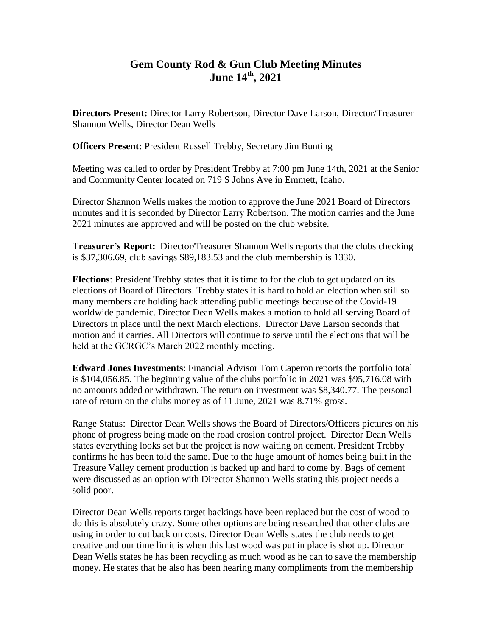## **Gem County Rod & Gun Club Meeting Minutes June 14th, 2021**

**Directors Present:** Director Larry Robertson, Director Dave Larson, Director/Treasurer Shannon Wells, Director Dean Wells

**Officers Present:** President Russell Trebby, Secretary Jim Bunting

Meeting was called to order by President Trebby at 7:00 pm June 14th, 2021 at the Senior and Community Center located on 719 S Johns Ave in Emmett, Idaho.

Director Shannon Wells makes the motion to approve the June 2021 Board of Directors minutes and it is seconded by Director Larry Robertson. The motion carries and the June 2021 minutes are approved and will be posted on the club website.

**Treasurer's Report:** Director/Treasurer Shannon Wells reports that the clubs checking is \$37,306.69, club savings \$89,183.53 and the club membership is 1330.

**Elections**: President Trebby states that it is time to for the club to get updated on its elections of Board of Directors. Trebby states it is hard to hold an election when still so many members are holding back attending public meetings because of the Covid-19 worldwide pandemic. Director Dean Wells makes a motion to hold all serving Board of Directors in place until the next March elections. Director Dave Larson seconds that motion and it carries. All Directors will continue to serve until the elections that will be held at the GCRGC's March 2022 monthly meeting.

**Edward Jones Investments**: Financial Advisor Tom Caperon reports the portfolio total is \$104,056.85. The beginning value of the clubs portfolio in 2021 was \$95,716.08 with no amounts added or withdrawn. The return on investment was \$8,340.77. The personal rate of return on the clubs money as of 11 June, 2021 was 8.71% gross.

Range Status: Director Dean Wells shows the Board of Directors/Officers pictures on his phone of progress being made on the road erosion control project. Director Dean Wells states everything looks set but the project is now waiting on cement. President Trebby confirms he has been told the same. Due to the huge amount of homes being built in the Treasure Valley cement production is backed up and hard to come by. Bags of cement were discussed as an option with Director Shannon Wells stating this project needs a solid poor.

Director Dean Wells reports target backings have been replaced but the cost of wood to do this is absolutely crazy. Some other options are being researched that other clubs are using in order to cut back on costs. Director Dean Wells states the club needs to get creative and our time limit is when this last wood was put in place is shot up. Director Dean Wells states he has been recycling as much wood as he can to save the membership money. He states that he also has been hearing many compliments from the membership